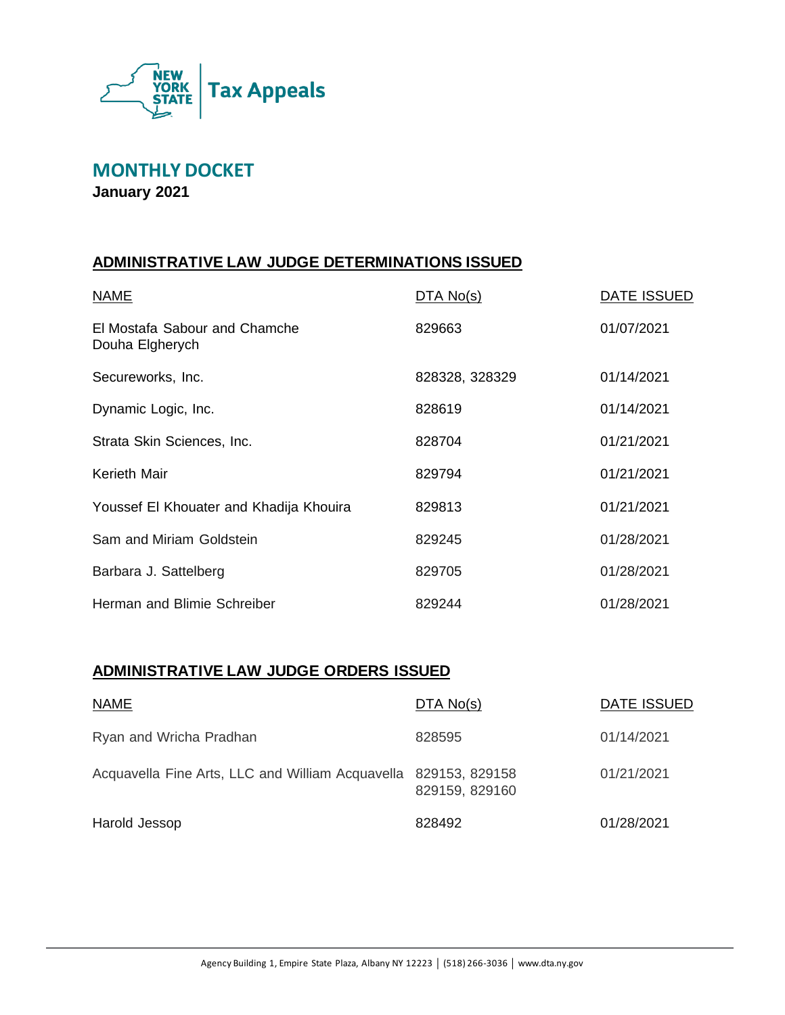

**MONTHLY DOCKET January 2021**

# **ADMINISTRATIVE LAW JUDGE DETERMINATIONS ISSUED**

| <b>NAME</b>                                      | DTA No(s)      | <b>DATE ISSUED</b> |
|--------------------------------------------------|----------------|--------------------|
| El Mostafa Sabour and Chamche<br>Douha Elgherych | 829663         | 01/07/2021         |
| Secureworks, Inc.                                | 828328, 328329 | 01/14/2021         |
| Dynamic Logic, Inc.                              | 828619         | 01/14/2021         |
| Strata Skin Sciences, Inc.                       | 828704         | 01/21/2021         |
| <b>Kerieth Mair</b>                              | 829794         | 01/21/2021         |
| Youssef El Khouater and Khadija Khouira          | 829813         | 01/21/2021         |
| Sam and Miriam Goldstein                         | 829245         | 01/28/2021         |
| Barbara J. Sattelberg                            | 829705         | 01/28/2021         |
| Herman and Blimie Schreiber                      | 829244         | 01/28/2021         |

# **ADMINISTRATIVE LAW JUDGE ORDERS ISSUED**

| <b>NAME</b>                                                     | DTA No(s)      | DATE ISSUED |
|-----------------------------------------------------------------|----------------|-------------|
| Ryan and Wricha Pradhan                                         | 828595         | 01/14/2021  |
| Acquavella Fine Arts, LLC and William Acquavella 829153, 829158 | 829159, 829160 | 01/21/2021  |
| Harold Jessop                                                   | 828492         | 01/28/2021  |